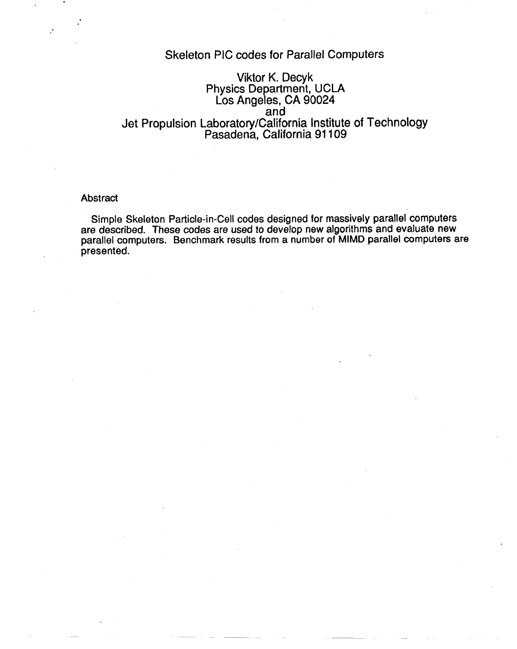### Skeleton PIC codes for Parallel Computers

### Viktor K. Decyk Physics Department, UCLA Los Angeles, CA 90024 Jet Propulsion Laboratory/California Institute of Technology Pasadena, California 91109

#### Abstract

.

Simple Skeleton Particle-in-Cell codes designed for massively parallel computers are described. These codes are used to develop new algorithms and evaluate new parallel computers. Benchmark results from a number of MIMD parallel computers are presented.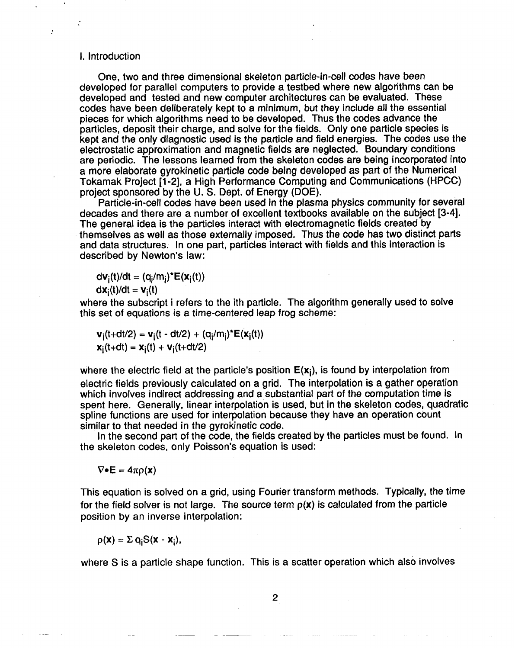#### 1.Introduction

 $\bullet$ 

One, two and three dimensional skeleton particle-in-cell codes have been developed for parallel computers to provide a testbed where new algorithms can be developed and tested and new computer architectures can be evaluated. These codes have been deliberately kept to a minimum, but they include all the essential pieces for which algorithms need to be developed. Thus the codes advance the particles, deposit their charge, and solve for the fields. Only one particle species is kept and the only diagnostic used is the particle and field energies. The codes use the electrostatic approximation and magnetic fields are neglected. Boundary conditions are periodic. The lessons learned from the skeleton codes are being incorporated into a more elaborate gyrokinetic particle code being developed as part of the Numerical Tokamak Project [1-2], a High Performance Computing and Communications (HPCC) project sponsored by the U. S. Dept. of Energy (DOE).

Particle-in-cell codes have been used in the plasma physics community for several decades and there are a number of excellent textbooks available on the subject [3-4]. The general idea is the particles interact with electromagnetic fields created by themselves as well as those externally imposed. Thus the code has two distinct parts and data structures. In one part, particles interact with fields and this interaction is described by Newton's law:

 $dv_i(t)/dt = (q_i/m_i)^*E(x_i(t))$  $dx_i(t)/dt = v_i(t)$ 

where the subscript i refers to the ith particle. The algorithm generally used to solve this set of equations is a time-centered leap frog scheme:

 $v_i(t+dt/2) = v_i(t - dt/2) + (q_i/m_i)^*E(x_i(t))$  $$ 

where the electric field at the particle's position  $E(x_i)$ , is found by interpolation from electric fields previously calculated on a grid. The interpolation is a gather operation which involves indirect addressing and a substantial part of the computation time is spent here. Generally, linear interpolation is used, but in the skeleton codes, quadratic spline functions are used for interpolation because they have an operation count similar to that needed in the gyrokinetic code.

In the second part of the code, the fields created by the particles must be found. In the skeleton codes, only Poisson's equation is used:

 $\nabla \bullet \mathsf{E} = 4\pi \rho(\mathsf{x})$ 

This equation is solved on a grid, using Fourier transform methods. Typically, the time for the field solver is not large. The source term  $p(x)$  is calculated from the particle position by an inverse interpolation:

 $p(\mathbf{x}) = \sum q_i S(\mathbf{x} - \mathbf{x}_i),$ 

where S is a particle shape function. This is a scatter operation which also involves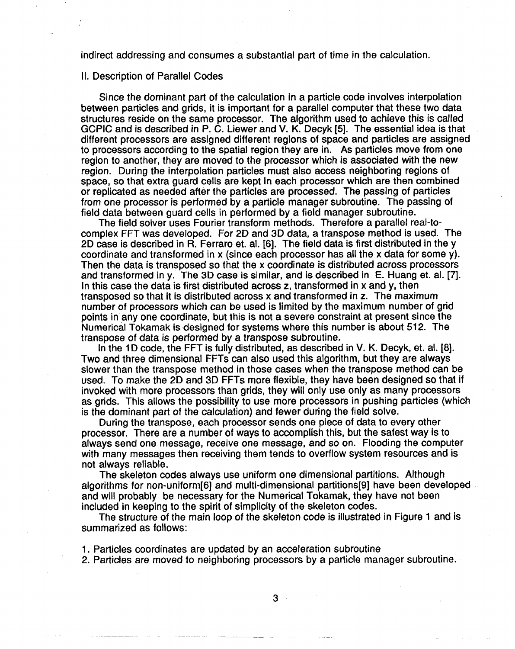indirect addressing and consumes a substantial part of time in the calculation.

#### Il. Description of Parallel Codes

Since the dominant part of the calculation in a particle code involves interpolation between particles and grids, it is important for a parallel computer that these two data structures reside on the same processor. The algorithm used to achieve this is called GCPIC and is described in P. C. Liewer and V. K. Decyk [5]. The essential idea is that different processors are assigned different regions of space and particles are assigned to processors according to the spatial region they are in. As patticles move from one region to another, they are moved to the processor which is associated with the new region. During the interpolation particles must also access neighboring regions of space, so that extra guard cells are kept in each processor which are then combined or replicated as needed after the particles are processed. The passing of particles from one processor is performed by a particle manager subroutine, The passing of field data between guard cells in performed by a field manager subroutine.

The field solver uses Fourier transform methods. Therefore a parallel real-tocomplex FFT was developed. For 2D and 3D data, a transpose method is used. The 2D case is described in R. Ferraro et. al. [6]. The field data is first distributed in the v coordinate and transformed in x (since each processor has all the x data for some y). Then the data is transposed so that the x coordinate is distributed across processors and transformed in y. The 3D case is similar, and is described in E. Huang et. al. [7]. In this case the data is first distributed across z, transformed in x and y, then transposed so that it is distributed across x and transformed in z, The maximum number of processors which can be used is limited by the maximum number of grid points in any one coordinate, but this is not a severe constraint at present since the Numerical Tokamak is designed for systems where this number is about 512. The transpose of data is performed by a transpose subroutine.

In the 1D code, the FFT is fully distributed, as described in V. K. Decyk, et. al. [8]. Two and three dimensional FFTs can also used this algorithm, but they are always slower than the transpose method in those cases when the transpose method can be used. To make the 2D and 3D FFTs more flexible, they have been designed so that if invoked with more processors than grids, they will only use only as many processors as grids. This allows the possibility to use more processors in pushing particles (which is the dominant part of the calculation) and fewer during the field solve.

During the transpose, each processor sends one piece of data to every other processor. There are a number of ways to accomplish this, but the safest way is to always send one message, receive one message, and so on. Flooding the computer with many messages then receiving them tends to overflow system resources and is not always reliable.

The skeleton codes always use uniform one dimensional partitions. Although algorithms for non-uniform[6] and multi-dimensional partitions[9J have been developed and will probably be necessary for the Numerical Tokamak, they have not been included in keeping to the spirit of simplicity of the skeleton codes.

The structure of the main loop of the skeleton code is illustrated in Figure 1 and is summarized as follows:

1. Particles coordinates are updated by an acceleration subroutine

2. Particles are moved to neighboring processors by a particle manager subroutine.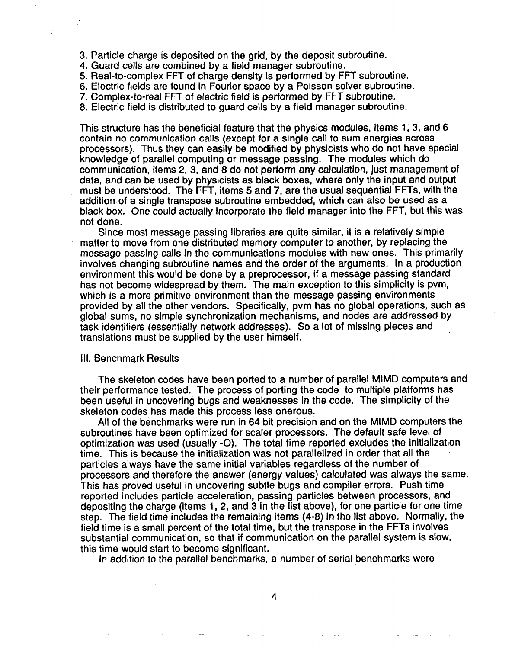- 3. Particle charge is deposited on the grid, by the deposit subroutine.
- 4. Guard cells are combined by a field manager subroutine.
- Real-to-complex FFT of charge density is performed by FFT subroutine
- 6. Electric fields are found in Fourier space by a Poisson solver subroutine
- 7. Complex-to-real FFT of electric field is performed by FFT subroutine.

8. Electric field is distributed to guard cells by a field manager subroutine.

This structure has the beneficial feature that the physics modules, items 1; 3, and 6 contain no communication calls (except for a single call to sum energies across processors). Thus they can easily be modified by physicists who do not have special knowledge of parallel computing or message passing. The modules which do communication, items 2, 3, and 8 do not perform any calculation, just management of data, and can be used by physicists as black boxes, where only the input and output must be understood. The FFT, items 5 and 7, are the usual sequential FFTs, with the addition of a single transpose subroutine embedded, which can **also be used as a black** box. One could actually incorporate the field manager into the FFT, but this was not done.

Since most message passing libraries are quite similar, it is a relatively simple matter to move from one distributed memory computer to another, by replacing the message passing calls in the communications modules with new ones. This primarily involves changing subroutine names and the order of the arguments. In a production environment this would be done by a preprocessor, if a message passing standard has not become widespread by them. The main exception to this simplicity is pvm, which is a more primitive environment than the message passing environments provided by all the other vendors. Specifically, pvm has no global operations, such as global sums, no simple synchronization mechanisms, and nodes are addressed by task identifiers (essentially network addresses). So a lot of missing pieces and translations must be supplied by the user himself.

#### Ill. Benchmark Results

The skeleton codes have been ported to a number of parallel MIMD computers and their performance tested. The process of porting the code to multiple platforms has been useful in uncovering bugs and weaknesses in the code. The simplicity of the skeleton codes has made this process less onerous.

All of the benchmarks were run in 64 bit precision and on the MIMD computers the subroutines have been optimized for scaler processors. The default safe level of optimization was used (usually -O). The total time reported excludes the initialization time. This is because the initialization was not parallelized in order that all the particles always have the same initial variables regardless of the number of processors and therefore the answer (energy values) calculated was always the same. This has proved useful in uncovering subtle bugs and compiler errors. Push time reported includes particle acceleration, passing particles between processors, and depositing the charge (items 1, 2, and 3 in the list above), for one particle for one time step. The field time includes the remaining items (4-8) in the list above. Normally, the field time is a small percent of the total time, but the transpose in the FFTs involves substantial communication, so that if communication on the parallel system is slow, this time would start to become significant.

In addition to the parallel benchmarks, a number of serial benchmarks were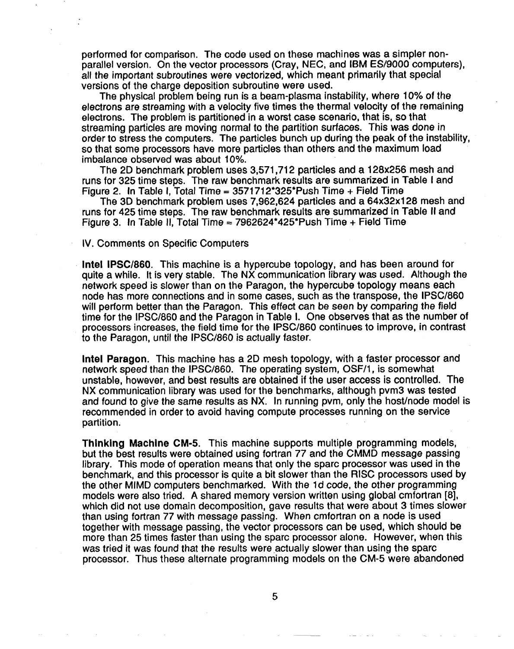performed for comparison. The code used on these machines was a simpler nonparallel version. On the vector processors (Cray, NEC, and IBM ES/9000 computers), all the important subroutines were vectorized, which meant primarily that special versions of the charge deposition subroutine were used.

The physical problem being run is a beam-plasma instability, where 10% of the electrons are streaming with a velocity five times the thermal velocity of the remaining electrons. The problem is partitioned in a worst case scenario, that is, so that streaming particles are moving normal to the partition surfaces. This was done in order to stress the computers. The particles bunch up during the peak of the instability, so that some processors have more particles than others and the maximum load imbalance observed was about 10%.

The 2D benchmark problem uses 3,571,712 particles and a 128x256 mesh and runs for 325 time steps. The raw benchmark results are summarized in Table I and Figure 2. In Table I, Total Time =  $3571712*325*Push$  Time + Field Time

The 3D benchmark problem uses 7,962,624 particles and a 64x32x128 mesh and runs for 425 time steps. The raw benchmark results are summarized in Table II and Figure 3. In Table II, Total Time =  $7962624*425*Push Time + Field Time$ 

IV. Comments on Specific Computers

**Intel lPSC/860.** This machine is a hypercube topology, and has been around for quite a while. It is very stable, The NX communication library was used. Although the network speed is slower than on the Paragon, the hypercube topology means each node has more connections and in some cases, such as the transpose, the lPSC/860 will perform better than the Paragon. This effect can be seen by comparing the field time for the lPSC/860 and the Paragon in Table 1. One observes that as the number of processors increases, the field time for the lPSC/860 continues to improve, in contrast to the Paragon, until the IPSC/860 is actually faster.

**Intel Paragon.** This machine has a 2D mesh topology, with a faster processor and network speed than the lPSC/860. The operating system, OSF/1, is somewhat unstable, however, and best results are obtained if the user access is controlled. The NX communication library was used for the benchmarks, although pvm3 was tested and found to give the same results as NX. In running pym, only the host/node model is recommended in order to avoid having compute processes running on the service partition.

**Thinking Machine CM-5.** This machine supports multiple programming models, but the best results were obtained using fortran 77 and the CMMD message passing library. This mode of operation means that only the spare processor was used in the benchmark, and this processor is quite a bit slower than the RiSC processors used by the other MIMD computers benchmarked. With the 1d code, the other programming models were also tried. A shared memory version written using global cmfortran [8], which did not use domain decomposition, gave results that were about 3 times slower than using fortran 77 with message passing. When cmfortran on a node is used together with message passing, the vector processors can be used, which should be more than 25 times faster than using the spare processor alone. However, when this was tried it was found that the results were actually slower than using the spare processor. Thus these alternate programming models on the CM-5 were abandoned

5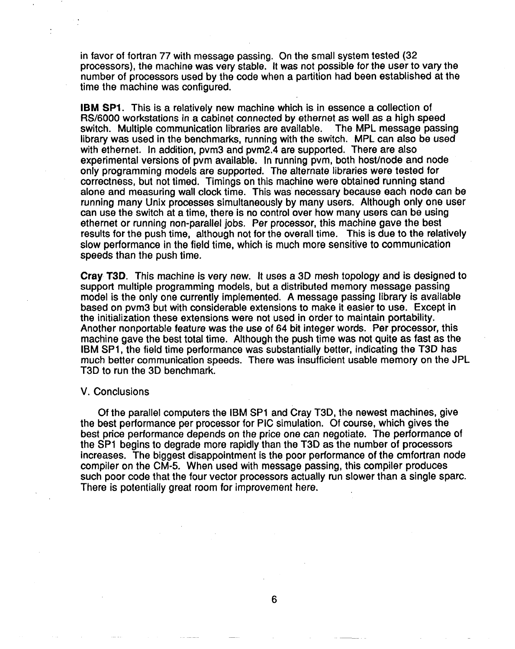in favor of fortran 77 with message passing. On the small system tested (32) processors), the machine was very stable. It was not possible for the user to vary the number of processors used by the code when a partition had been established at the time the machine was configured.

**IBM SP1.** This is a relatively new machine which is in essence a collection of RS/6000 workstations in a cabinet connected by ethernet as well as a high speed switch. Multiple communication libraries are available. The MPL message passing library was used in the benchmarks, running with the switch. MPL can also be used with ethernet. In addition, pvm3 and pvm2.4 are supported. There are also experimental versions of pvm available, In running pvm, both host/node and node only programming models are supported. The alternate libraries were tested for correctness, but not timed. Timings on this machine were obtained running stand alone and measuring wall clock time. This was necessary because each node can be running many Unix processes simultaneously by many users. Although only one user can use the switch at a time, there is no control over how many users can be using ethernet or running non-parallel jobs, Per processor, this machine gave the best results for the push time, although not for the overall time. This is due to the relatively slow performance **in** the field time, which is much more sensitive to communication speeds than the push time.

**Cray T3D.** This machine is very new. It uses a 3D mesh topology and is designed to support multiple programming models, but a distributed memory message passing model is the only one currently implemented, A message passing library is available based on pvm3 but with considerable extensions to make it easier to use. Except in the initialization these extensions were not used in order to maintain portability. Another nonportable feature was the use of 64 bit integer words. Per processor, this machine gave the best total time. Although the push time was not quite as fast as the IBM SP1, the field time performance was substantially better, indicating the T3D has much better communication speeds. There was insufficient usable memory on the JPL T3D to run the 3D benchmark.

#### V. Conclusions

Of the parallel computers the IBM SP1 and Cray T3D, the newest machines, give the best performance per processor for PIC simulation. Of course, which gives the best price performance depends on the price one can negotiate. The performance of the SP1 begins to degrade more rapidly than the T3D as the number of processors increases. The biggest disappointment is the poor performance of the cmfortran node compiler on the CM-5. When used with message passing, this compiler produces such poor code that the four vector processors actually run slower than a single spare. There is potentially great room for improvement here.

6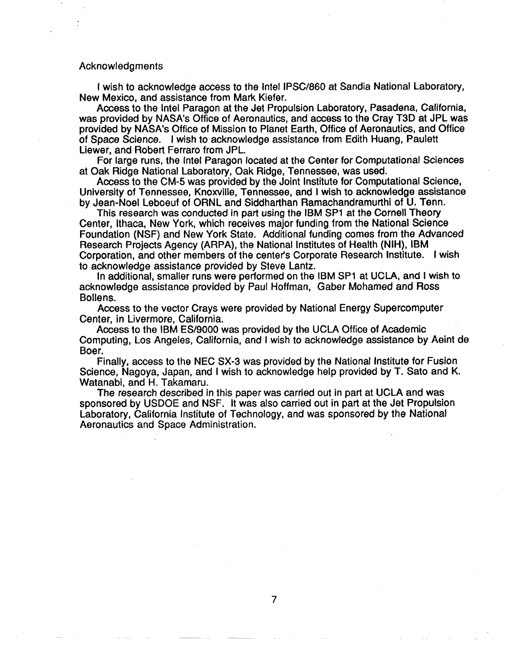#### Acknowledgments

I wish to acknowledge access to the Intel lPSC/860 at Sandia National Laboratory, New Mexico, and assistance from Mark Kiefer.

Access to the Intel Paragon at the Jet Propulsion Laboratory, Pasadena, California, was provided by NASA's Office of Aeronautics, and access to the Cray T3D at JPL was provided by NASA's Office of Mission to Planet Earth, Office of Aeronautics, and Office of Space Science. I wish to acknowledge assistance from Edith Huang, Paulett Liewer, and Robert Ferraro from JPL.

For large runs, the Intel Paragon located at the Center for Computational Sciences at Oak Ridge National Laboratory, Oak Ridge, Tennessee, was used.

Access to the CM-5 was provided by the Joint Institute for Computational Science, University of Tennessee, Knoxville, Tennessee, and I wish to acknowledge assistance by Jean-Noel Leboeuf of ORNL and Siddharthan Ramachandramurthi of U. Term.

This research was conducted in part using the IBM SP1 at the Cornell Theory Center, Ithaca, New York, which receives major funding from the National Science Foundation (NSF) and New York State. Additional funding comes from the Advanced Research Projects Agency (ARPA), the National Institutes of Health (NIH), IBM Corporation, and other members of the center's Corporate Research Institute. I wish to acknowledge assistance provided by Steve Lantz.

In additional, smaller runs were performed on the IBM SP1 at UCLA, and I wish to acknowledge assistance provided by Paul Hoffman, Gaber Mohamed and Ross Bollens.

Access to the vector Crays were provided by National Energy Supercomputer Center, in Livermore, California.

Access to the IBM ES/9000 was provided by the UCIA Office of Academic Computing, Los Angeles, California, and I wish to acknowledge assistance by Aeint de Boer.

Finally, access to the NEC SX-3 was provided by the National Institute for Fusion Science, Nagoya, Japan, and I wish to acknowledge help provided by T. Sato and K. Watanabi, and H. Takamaru.

The research described in this paper was carried out in part at UCLA and was sponsored by USDOE and NSF. It was also carried out in part at the Jet Propulsion Laboratory, California Institute of Technology, and was sponsored by the National Aeronautics and Space Administration.

 $\overline{7}$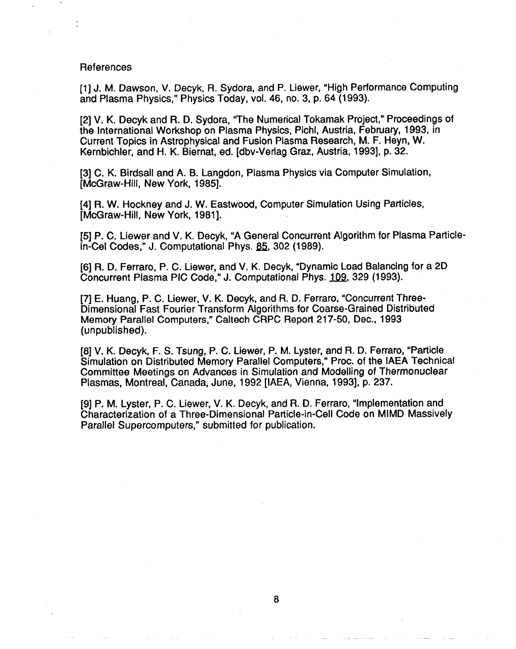#### References

[1] J. M, Dawson, V. Decyk, R, Sydora, and P. Liewer, "High Performance Computing and Plasma Physics," Physics Today, vol. 46, no. 3, p. 64 (1993).

[2] V. K. Decyk and R. D. Sydora, "The Numerical Tokamak Project," Proceedings of the International Workshop on Plasma Physics, Pichl, Austria, February, 1993, in Current Topics in Astrophysical and Fusion Plasma Research, M. F. Heyn, W. Kernbichler, and H. K. Biernat, ed. [dbv-Verlag Graz, Austria, 1993], p. 32.

[3] C. K. Birdsall and A. B. Langdon, Plasma Physics via Computer Simulation, [McGraw-liill, New York, 1985].

[4] R. W. Hockney and J. W. Eastwood, Computer Simulation Using Particles, [McGraw-Hill, New York, 1981].

[5] P. C. Liewer and V. K, Decyk, "A General Concurrent Algorithm for Plasma Particlein-Cel Codes," J. Computational Phys. 85, 302 (1989).

[6] R. D. Ferraro, P. C. Liewer, and V. K. Decyk, "Dynamic Load Balancing for a 2D Concurrent Plasma PIC Code," J. Computational Phys. 109, 329 (1993).

[7] E. Huang, P. C. Liewer, V. K. Decyk, and R. D. Ferraro, "Concurrent Three-Dimensional Fast Fourier Transform Algorithms for Coarse-Grained Distributed Memory Parallel Computers," Caltech CRPC Report 217-50, Dec., 1993 (unpublished).

[8] V. K. Decyk, F. S. Tsung, P. C. Liewer, P. M. Lyster, and R. D. Ferraro, "Particle Simulation on Distributed Memory Parallel Computers," Proc. of the IAEA Technical Committee Meetings on Advances in Simulation and Modelling of Thermonuclear Plasmas, Montreal, Canada, June, 1992 [IAEA, Vienna, 1993], p. 237.

[9] P. M. Lyster, P. C. Liewer, V. K. Decyk, and R. D. Ferraro, "Implementation and Characterization of a Three-Dimensional Particle-in-Cell Code on MIMD Massively Parallel Supercomputers," submitted for publication.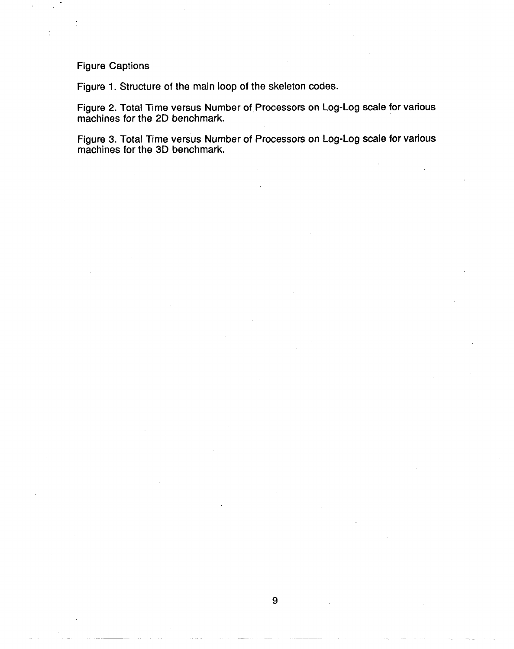Figure Captions

Figure 1. Structure of the main loop of the skeleton codes.

Figure 2. Total Time versus Number of.Processors on Log-Log scale for various machines for the 2D benchmark.

Figure 3. Total Time versus Number of Processors on Log-Log scale for various machines for the 3D benchmark.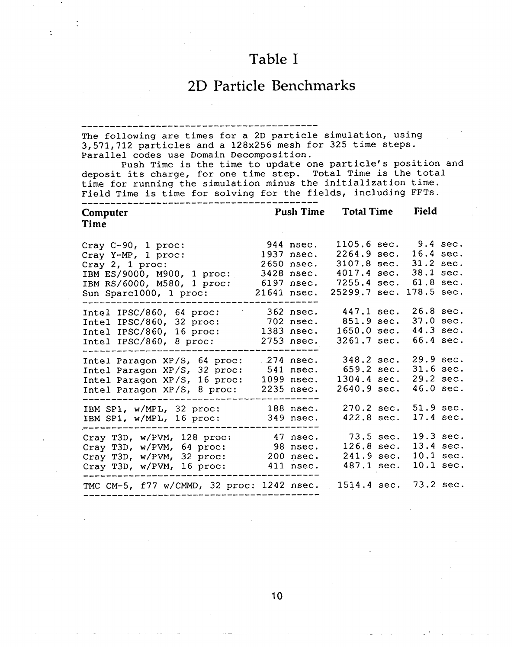## Table I

## 2D Particle Benchmarks

#### ----- ---------- ------ ----- ----- ----- -----

The following are times for a 2D particle simulation, using 3,571,712 particles and a 128x256 mesh for 325 time steps. Parallel codes use Domain Decomposition.

Push Time is the time to update one particle's position and deposit its charge, for one time step. Total Time is the total time for running the simulation minus the initialization time. Field Time is time for solving for the fields, including FFTs. ----- ----- ------ ------- ----- ----- ----- ---

| Computer<br>Time                                                                                                                                        | <b>Push Time</b><br><b>Total Time</b> |                                                                                    | Field                                                                                                      |                                                                  |                                     |
|---------------------------------------------------------------------------------------------------------------------------------------------------------|---------------------------------------|------------------------------------------------------------------------------------|------------------------------------------------------------------------------------------------------------|------------------------------------------------------------------|-------------------------------------|
| Cray $C-90$ , 1 proc:<br>Cray Y-MP, 1 proc:<br>Cray $2$ , 1 proc:<br>IBM ES/9000, M900, 1 proc:<br>IBM RS/6000, M580, 1 proc:<br>Sun Sparc1000, 1 proc: |                                       | 944 nsec.<br>1937 nsec.<br>2650 nsec.<br>3428 nsec.<br>$6197$ nsec.<br>21641 nsec. | 1105.6 sec. 9.4 sec.<br>2264.9 sec.<br>3107.8 sec.<br>$4017.4 \text{ sec.}$<br>7255.4 sec.<br>25299.7 sec. | 16.4 sec.<br>$31.2$ sec.<br>38.1 sec.<br>61.8 sec.<br>178.5 sec. |                                     |
| Intel IPSC/860, 64 proc:<br>Intel IPSC/860, 32 proc:<br>Intel IPSC/860, 16 proc:<br>Intel IPSC/860, 8 proc:                                             |                                       | $362$ nsec.<br>702 nsec.<br>1383 nsec.<br>2753 nsec.                               | 447.1 sec.<br>$851.9 \text{ sec.}$<br>1650.0 sec.<br>3261.7 sec.                                           | 26.8 sec.<br>$37.0$ sec.<br>44.3 sec.<br>66.4 sec.               |                                     |
| Intel Paragon XP/S, 64 proc:<br>Intel Paragon XP/S, 32 proc:<br>Intel Paragon XP/S, 16 proc:<br>Intel Paragon XP/S, 8 proc:                             |                                       | $.274$ nsec.<br>541 nsec.<br>1099 nsec.<br>$2235$ nsec.                            | 348.2 sec.<br>659.2 sec.<br>1304.4 sec.<br>2640.9 sec.                                                     | 29.9 sec.<br>31.6 sec.<br>29.2 sec.<br>46.0 sec.                 |                                     |
| IBM SP1, w/MPL, 32 proc:<br>IBM SP1, w/MPL, 16 proc:                                                                                                    |                                       | $188$ nsec.<br>349 nsec.                                                           | 270.2 sec.<br>422.8 sec.                                                                                   | 51.9 sec.<br>17.4 sec.                                           |                                     |
| Cray T3D, w/PVM, 128 proc:<br>Cray T3D, w/PVM, 64 proc:<br>Cray T3D, w/PVM, 32 proc:<br>Cray T3D, w/PVM, 16 proc:                                       |                                       | 47 nsec.<br>98 nsec.<br>200 nsec.<br>411 nsec.                                     | $73.5$ sec.<br>$126.8 \text{ sec.}$<br>241.9 sec.<br>487.1 sec.                                            | 13.4 sec.                                                        | 19.3 sec.<br>10.1 sec.<br>10.1 sec. |
| TMC CM-5, f77 w/CMMD, 32 proc: 1242 nsec.                                                                                                               |                                       |                                                                                    | 1514.4 sec.                                                                                                | 73.2 sec.                                                        |                                     |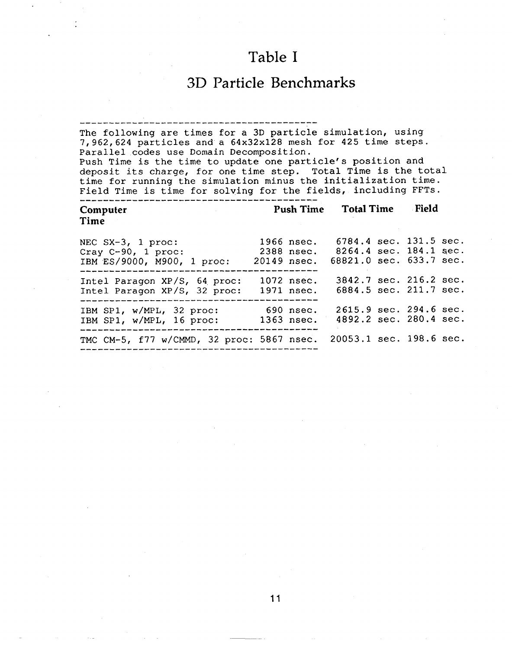# Table I

# 3D Particle Benchmarks

| The following are times for a 3D particle simulation, using<br>7,962,624 particles and a 64x32x128 mesh for 425 time steps.<br>Parallel codes use Domain Decomposition.<br>Push Time is the time to update one particle's position and<br>deposit its charge, for one time step. Total Time is the total<br>time for running the simulation minus the initialization time.<br>Field Time is time for solving for the fields, including FFTs. |  |                             |                         |  |       |  |  |  |  |  |  |
|----------------------------------------------------------------------------------------------------------------------------------------------------------------------------------------------------------------------------------------------------------------------------------------------------------------------------------------------------------------------------------------------------------------------------------------------|--|-----------------------------|-------------------------|--|-------|--|--|--|--|--|--|
| Computer                                                                                                                                                                                                                                                                                                                                                                                                                                     |  | <b>Push Time Total Time</b> |                         |  | Field |  |  |  |  |  |  |
| Time                                                                                                                                                                                                                                                                                                                                                                                                                                         |  |                             |                         |  |       |  |  |  |  |  |  |
| NEC $SX-3$ , 1 proc:                                                                                                                                                                                                                                                                                                                                                                                                                         |  | 1966 nsec.                  | 6784.4 sec. 131.5 sec.  |  |       |  |  |  |  |  |  |
| Cray $C-90$ , 1 proc:                                                                                                                                                                                                                                                                                                                                                                                                                        |  | 2388 nsec.                  | 8264.4 sec. 184.1 sec.  |  |       |  |  |  |  |  |  |
| IBM ES/9000, M900, 1 proc:                                                                                                                                                                                                                                                                                                                                                                                                                   |  | 20149 nsec.                 | 68821.0 sec. 633.7 sec. |  |       |  |  |  |  |  |  |
| Intel Paragon XP/S, 64 proc:                                                                                                                                                                                                                                                                                                                                                                                                                 |  | 1072 nsec.                  | 3842.7 sec. 216.2 sec.  |  |       |  |  |  |  |  |  |
| Intel Paragon XP/S, 32 proc:                                                                                                                                                                                                                                                                                                                                                                                                                 |  | 1971 nsec.                  | 6884.5 sec. 211.7 sec.  |  |       |  |  |  |  |  |  |
| IBM SP1, w/MPL, 32 proc:                                                                                                                                                                                                                                                                                                                                                                                                                     |  | 690 nsec.                   | 2615.9 sec. 294.6 sec.  |  |       |  |  |  |  |  |  |
| IBM SP1, w/MPL, 16 proc:                                                                                                                                                                                                                                                                                                                                                                                                                     |  | 1363 nsec.                  | 4892.2 sec. 280.4 sec.  |  |       |  |  |  |  |  |  |
| TMC CM-5, f77 w/CMMD, 32 proc: 5867 nsec.                                                                                                                                                                                                                                                                                                                                                                                                    |  |                             | 20053.1 sec. 198.6 sec. |  |       |  |  |  |  |  |  |

11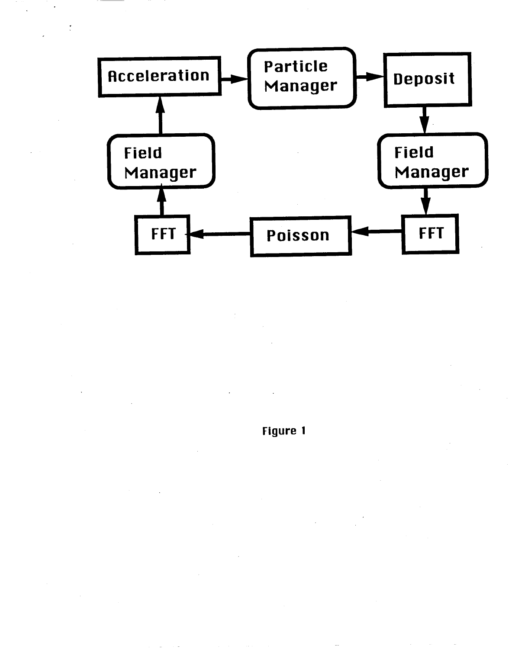

**Figure 1**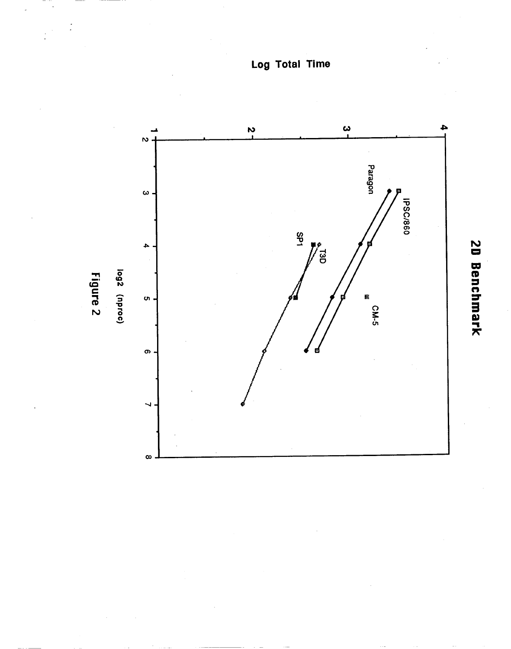**Log Total Time**



20 Benchmark